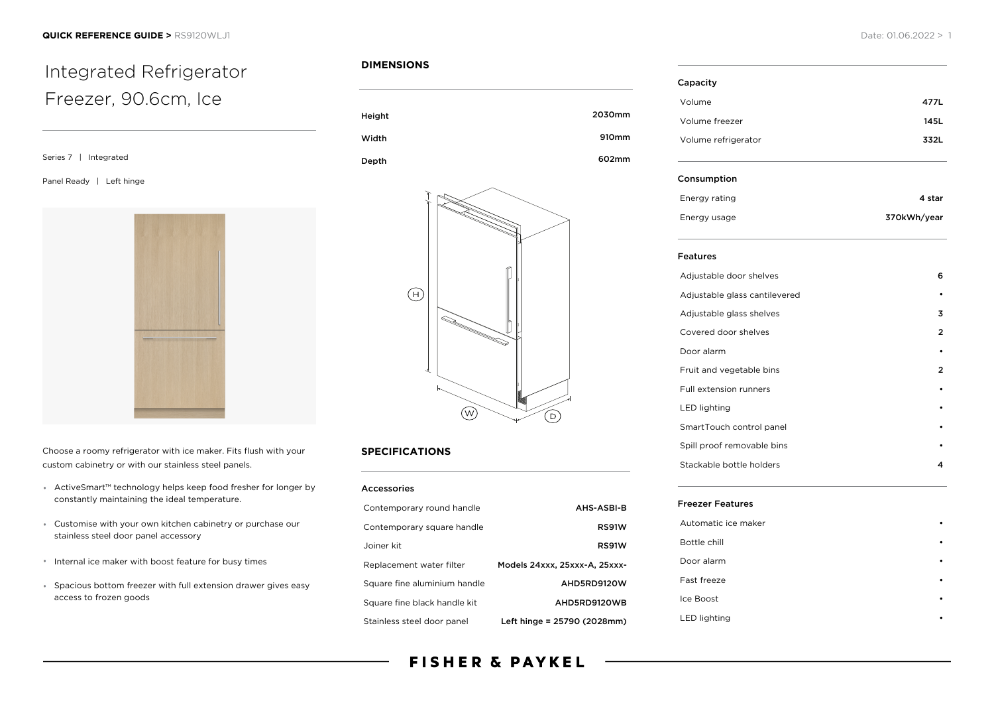# Integrated Refrigerator Freezer, 90.6cm, Ice

Series 7 | Integrated

Panel Ready | Left hinge



Choose a roomy refrigerator with ice maker. Fits flush with your custom cabinetry or with our stainless steel panels.

- ActiveSmart™ technology helps keep food fresher for longer by constantly maintaining the ideal temperature.
- Customise with your own kitchen cabinetry or purchase our stainless steel door panel accessory
- Internal ice maker with boost feature for busy times
- Spacious bottom freezer with full extension drawer gives easy access to frozen goods

### **DIMENSIONS**





## **SPECIFICATIONS**

| <b>Accessories</b>           |                               |
|------------------------------|-------------------------------|
| Contemporary round handle    | AHS-ASBI-B                    |
| Contemporary square handle   | RS91W                         |
| Joiner kit                   | RS91W                         |
| Replacement water filter     | Models 24xxx, 25xxx-A, 25xxx- |
| Square fine aluminium handle | AHD5RD9120W                   |
| Square fine black handle kit | AHD5RD9120WB                  |
| Stainless steel door panel   | Left hinge = 25790 (2028mm)   |

# **FISHER & PAYKEL**

| Capacity            |      |
|---------------------|------|
| Volume              | 477L |
| Volume freezer      | 145L |
| Volume refrigerator | 3321 |
|                     |      |

#### Consumption

| Energy rating | 4 star      |
|---------------|-------------|
| Energy usage  | 370kWh/year |

#### Features

| Adjustable door shelves       | 6 |
|-------------------------------|---|
| Adjustable glass cantilevered |   |
| Adjustable glass shelves      | 3 |
| Covered door shelves          | 2 |
| Door alarm                    |   |
| Fruit and vegetable bins      | 2 |
| <b>Full extension runners</b> |   |
| LED lighting                  |   |
| SmartTouch control panel      |   |
| Spill proof removable bins    |   |
| Stackable bottle holders      | 4 |

#### Freezer Features

| Automatic ice maker |  |
|---------------------|--|
| Bottle chill        |  |
| Door alarm          |  |
| Fast freeze         |  |
| Ice Boost           |  |
| <b>LED</b> lighting |  |